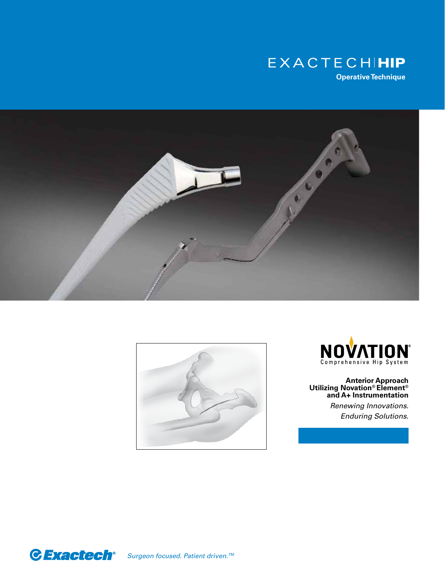







**Anterior Approach Utilizing Novation® Element® and A+ Instrumentation**

> *Renewing Innovations. Enduring Solutions.*



*Surgeon focused. Patient driven.TM*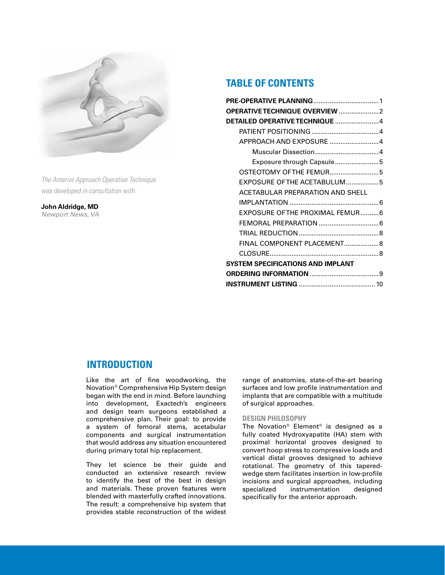

*The Anterior Approach Operative Technique was developed in consultation with:*

**John Aldridge, MD**  *Newport News, VA*

# **TABLE OF CONTENTS**

| OPERATIVE TECHNIQUE OVERVIEW  2          |  |
|------------------------------------------|--|
|                                          |  |
|                                          |  |
| APPROACH AND EXPOSURE  4                 |  |
|                                          |  |
| Exposure through Capsule5                |  |
| OSTEOTOMY OF THE FEMUR5                  |  |
| EXPOSURE OF THE ACETABULUM5              |  |
| ACETABULAR PREPARATION AND SHELL         |  |
|                                          |  |
| EXPOSURE OF THE PROXIMAL FEMUR 6         |  |
|                                          |  |
|                                          |  |
| FINAL COMPONENT PLACEMENT 8              |  |
|                                          |  |
| <b>SYSTEM SPECIFICATIONS AND IMPLANT</b> |  |
|                                          |  |
|                                          |  |

## **INTRODUCTION**

Like the art of fine woodworking, the Novation® Comprehensive Hip System design began with the end in mind. Before launching into development, Exactech's engineers and design team surgeons established a comprehensive plan. Their goal: to provide a system of femoral stems, acetabular components and surgical instrumentation that would address any situation encountered during primary total hip replacement.

They let science be their guide and conducted an extensive research review to identify the best of the best in design and materials. These proven features were blended with masterfully crafted innovations. The result: a comprehensive hip system that provides stable reconstruction of the widest range of anatomies, state-of-the-art bearing surfaces and low profile instrumentation and implants that are compatible with a multitude of surgical approaches.

#### **DESIGN PHILOSOPHY**

The Novation® Element® is designed as a fully coated Hydroxyapatite (HA) stem with proximal horizontal grooves designed to convert hoop stress to compressive loads and vertical distal grooves designed to achieve rotational. The geometry of this taperedwedge stem facilitates insertion in low-profile incisions and surgical approaches, including specialized instrumentation designed specifically for the anterior approach.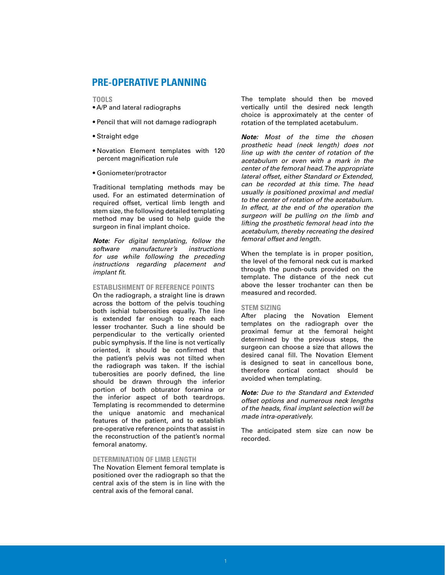# **PRE-OPERATIVE PLANNING**

**TOOLS**

- A/P and lateral radiographs
- Pencil that will not damage radiograph
- Straight edge
- Novation Element templates with 120 percent magnification rule
- Goniometer/protractor

Traditional templating methods may be used. For an estimated determination of required offset, vertical limb length and stem size, the following detailed templating method may be used to help guide the surgeon in final implant choice.

*Note: For digital templating, follow the software manufacturer's instructions for use while following the preceding instructions regarding placement and implant fit.*

#### **ESTABLISHMENT OF REFERENCE POINTS**

On the radiograph, a straight line is drawn across the bottom of the pelvis touching both ischial tuberosities equally. The line is extended far enough to reach each lesser trochanter. Such a line should be perpendicular to the vertically oriented pubic symphysis. If the line is not vertically oriented, it should be confirmed that the patient's pelvis was not tilted when the radiograph was taken. If the ischial tuberosities are poorly defined, the line should be drawn through the inferior portion of both obturator foramina or the inferior aspect of both teardrops. Templating is recommended to determine the unique anatomic and mechanical features of the patient, and to establish pre-operative reference points that assist in the reconstruction of the patient's normal femoral anatomy.

#### **DETERMINATION OF LIMB LENGTH**

The Novation Element femoral template is positioned over the radiograph so that the central axis of the stem is in line with the central axis of the femoral canal.

The template should then be moved vertically until the desired neck length choice is approximately at the center of rotation of the templated acetabulum.

*Note: Most of the time the chosen prosthetic head (neck length) does not line up with the center of rotation of the acetabulum or even with a mark in the center of the femoral head. The appropriate lateral offset, either Standard or Extended, can be recorded at this time. The head usually is positioned proximal and medial to the center of rotation of the acetabulum. In effect, at the end of the operation the surgeon will be pulling on the limb and lifting the prosthetic femoral head into the acetabulum, thereby recreating the desired femoral offset and length.*

When the template is in proper position, the level of the femoral neck cut is marked through the punch-outs provided on the template. The distance of the neck cut above the lesser trochanter can then be measured and recorded.

#### **STEM SIZING**

After placing the Novation Element templates on the radiograph over the proximal femur at the femoral height determined by the previous steps, the surgeon can choose a size that allows the desired canal fill. The Novation Element is designed to seat in cancellous bone, therefore cortical contact should be avoided when templating.

*Note: Due to the Standard and Extended offset options and numerous neck lengths of the heads, final implant selection will be made intra-operatively.*

The anticipated stem size can now be recorded.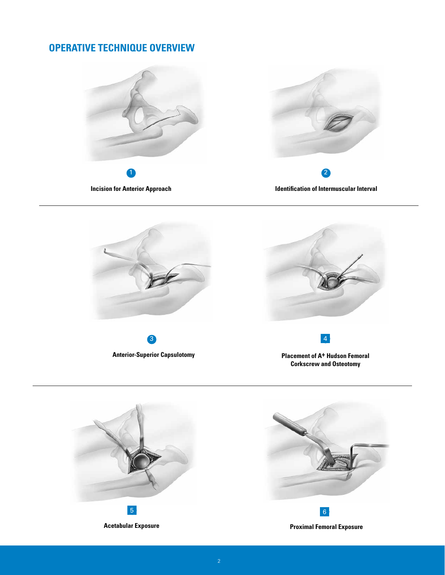# **OPERATIVE TECHNIQUE OVERVIEW**





**Identification of Intermuscular Interval**





**Placement of A+ Hudson Femoral Corkscrew and Osteotomy**

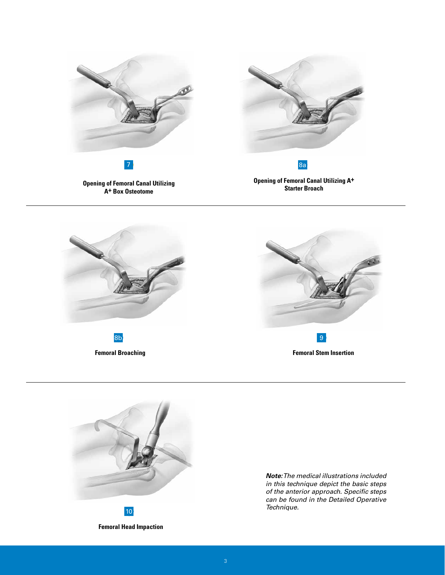



**Femoral Broaching**





**Femoral Head Impaction**

*Note: The medical illustrations included in this technique depict the basic steps of the anterior approach. Specific steps can be found in the Detailed Operative Technique.*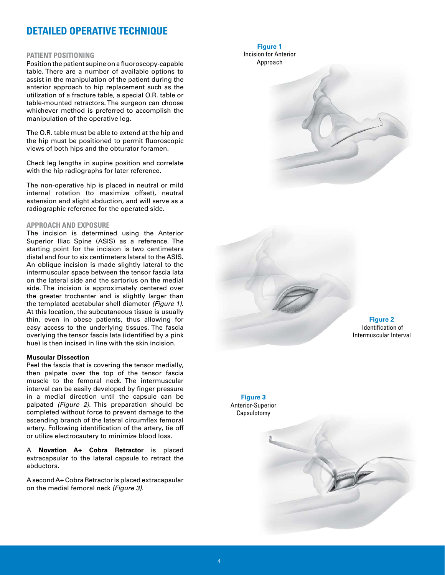# **DETAILED OPERATIVE TECHNIQUE**

#### **PATIENT POSITIONING**

Position the patient supine on a fluoroscopy-capable table. There are a number of available options to assist in the manipulation of the patient during the anterior approach to hip replacement such as the utilization of a fracture table, a special O.R. table or table-mounted retractors. The surgeon can choose whichever method is preferred to accomplish the manipulation of the operative leg.

The O.R. table must be able to extend at the hip and the hip must be positioned to permit fluoroscopic views of both hips and the obturator foramen.

Check leg lengths in supine position and correlate with the hip radiographs for later reference.

The non-operative hip is placed in neutral or mild internal rotation (to maximize offset), neutral extension and slight abduction, and will serve as a radiographic reference for the operated side.

#### **APPROACH AND EXPOSURE**

The incision is determined using the Anterior Superior Iliac Spine (ASIS) as a reference. The starting point for the incision is two centimeters distal and four to six centimeters lateral to the ASIS. An oblique incision is made slightly lateral to the intermuscular space between the tensor fascia lata on the lateral side and the sartorius on the medial side. The incision is approximately centered over the greater trochanter and is slightly larger than the templated acetabular shell diameter *(Figure 1)*. At this location, the subcutaneous tissue is usually thin, even in obese patients, thus allowing for easy access to the underlying tissues. The fascia overlying the tensor fascia lata (identified by a pink hue) is then incised in line with the skin incision.

#### **Muscular Dissection**

Peel the fascia that is covering the tensor medially, then palpate over the top of the tensor fascia muscle to the femoral neck. The intermuscular interval can be easily developed by finger pressure in a medial direction until the capsule can be palpated *(Figure 2)*. This preparation should be completed without force to prevent damage to the ascending branch of the lateral circumflex femoral artery. Following identification of the artery, tie off or utilize electrocautery to minimize blood loss.

A **Novation A+ Cobra Retractor** is placed extracapsular to the lateral capsule to retract the abductors.

A second A+ Cobra Retractor is placed extracapsular on the medial femoral neck *(Figure 3)*.

**Figure 1**  Incision for Anterior





**Figure 2**  Identification of Intermuscular Interval



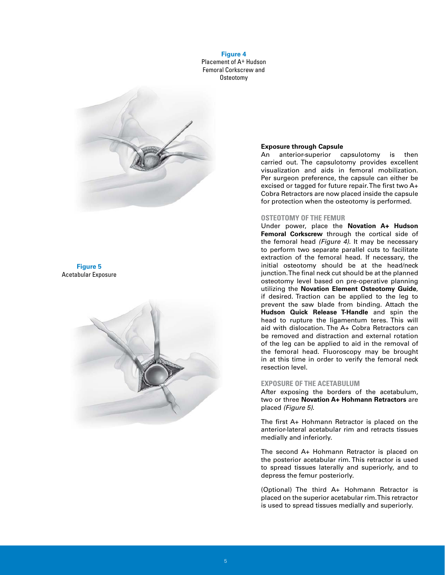**Figure 4**  Placement of A+ Hudson Femoral Corkscrew and Osteotomy



#### **Figure 5**  Acetabular Exposure



#### **Exposure through Capsule**

An anterior-superior capsulotomy is then carried out. The capsulotomy provides excellent visualization and aids in femoral mobilization. Per surgeon preference, the capsule can either be excised or tagged for future repair. The first two A+ Cobra Retractors are now placed inside the capsule for protection when the osteotomy is performed.

#### **OSTEOTOMY OF THE FEMUR**

Under power, place the **Novation A+ Hudson Femoral Corkscrew** through the cortical side of the femoral head *(Figure 4)*. It may be necessary to perform two separate parallel cuts to facilitate extraction of the femoral head. If necessary, the initial osteotomy should be at the head/neck junction. The final neck cut should be at the planned osteotomy level based on pre-operative planning utilizing the **Novation Element Osteotomy Guide**, if desired. Traction can be applied to the leg to prevent the saw blade from binding. Attach the **Hudson Quick Release T-Handle** and spin the head to rupture the ligamentum teres. This will aid with dislocation. The A+ Cobra Retractors can be removed and distraction and external rotation of the leg can be applied to aid in the removal of the femoral head. Fluoroscopy may be brought in at this time in order to verify the femoral neck resection level.

#### **EXPOSURE OF THE ACETABULUM**

After exposing the borders of the acetabulum, two or three **Novation A+ Hohmann Retractors** are placed *(Figure 5)*.

The first A+ Hohmann Retractor is placed on the anterior-lateral acetabular rim and retracts tissues medially and inferiorly.

The second A+ Hohmann Retractor is placed on the posterior acetabular rim. This retractor is used to spread tissues laterally and superiorly, and to depress the femur posteriorly.

(Optional) The third A+ Hohmann Retractor is placed on the superior acetabular rim. This retractor is used to spread tissues medially and superiorly.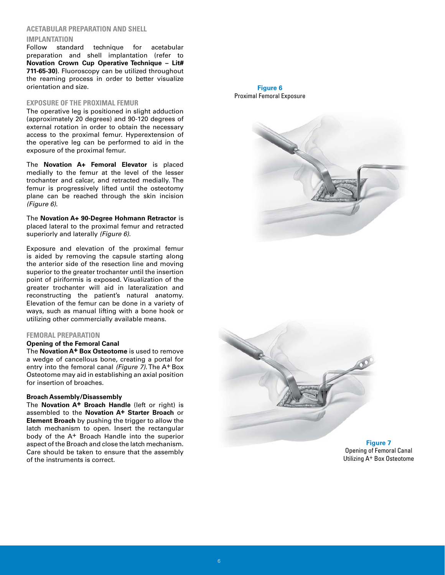#### **ACETABULAR PREPARATION AND SHELL**

#### **IMPLANTATION**

Follow standard technique for acetabular preparation and shell implantation (refer to **Novation Crown Cup Operative Technique – Lit# 711-65-30)**. Fluoroscopy can be utilized throughout the reaming process in order to better visualize orientation and size.

#### **EXPOSURE OF THE PROXIMAL FEMUR**

The operative leg is positioned in slight adduction (approximately 20 degrees) and 90-120 degrees of external rotation in order to obtain the necessary access to the proximal femur. Hyperextension of the operative leg can be performed to aid in the exposure of the proximal femur.

The **Novation A+ Femoral Elevator** is placed medially to the femur at the level of the lesser trochanter and calcar, and retracted medially. The femur is progressively lifted until the osteotomy plane can be reached through the skin incision *(Figure 6)*.

 The **Novation A+ 90-Degree Hohmann Retractor** is placed lateral to the proximal femur and retracted superiorly and laterally *(Figure 6)*.

Exposure and elevation of the proximal femur is aided by removing the capsule starting along the anterior side of the resection line and moving superior to the greater trochanter until the insertion point of piriformis is exposed. Visualization of the greater trochanter will aid in lateralization and reconstructing the patient's natural anatomy. Elevation of the femur can be done in a variety of ways, such as manual lifting with a bone hook or utilizing other commercially available means.

#### **FEMORAL PREPARATION**

#### **Opening of the Femoral Canal**

The **Novation A+ Box Osteotome** is used to remove a wedge of cancellous bone, creating a portal for entry into the femoral canal *(Figure 7)*. The A+ Box Osteotome may aid in establishing an axial position for insertion of broaches.

#### **Broach Assembly/Disassembly**

The **Novation A+ Broach Handle** (left or right) is assembled to the **Novation A+ Starter Broach** or **Element Broach** by pushing the trigger to allow the latch mechanism to open. Insert the rectangular body of the A+ Broach Handle into the superior aspect of the Broach and close the latch mechanism. Care should be taken to ensure that the assembly of the instruments is correct.

**Figure 6**  Proximal Femoral Exposure





**Figure 7**  Opening of Femoral Canal Utilizing A+ Box Osteotome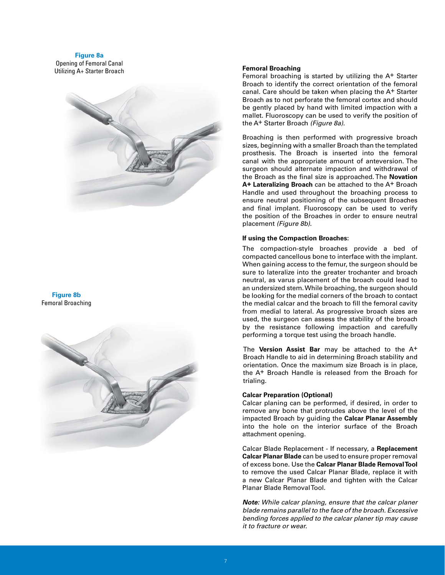#### **Figure 8a**

Opening of Femoral Canal Utilizing A+ Starter Broach **Femoral Broaching**



#### **Figure 8b**  Femoral Broaching



Femoral broaching is started by utilizing the A+ Starter Broach to identify the correct orientation of the femoral canal. Care should be taken when placing the A+ Starter Broach as to not perforate the femoral cortex and should be gently placed by hand with limited impaction with a mallet. Fluoroscopy can be used to verify the position of the A+ Starter Broach *(Figure 8a)*.

Broaching is then performed with progressive broach sizes, beginning with a smaller Broach than the templated prosthesis. The Broach is inserted into the femoral canal with the appropriate amount of anteversion. The surgeon should alternate impaction and withdrawal of the Broach as the final size is approached. The **Novation A+ Lateralizing Broach** can be attached to the A+ Broach Handle and used throughout the broaching process to ensure neutral positioning of the subsequent Broaches and final implant. Fluoroscopy can be used to verify the position of the Broaches in order to ensure neutral placement *(Figure 8b)*.

#### **If using the Compaction Broaches:**

The compaction-style broaches provide a bed of compacted cancellous bone to interface with the implant. When gaining access to the femur, the surgeon should be sure to lateralize into the greater trochanter and broach neutral, as varus placement of the broach could lead to an undersized stem. While broaching, the surgeon should be looking for the medial corners of the broach to contact the medial calcar and the broach to fill the femoral cavity from medial to lateral. As progressive broach sizes are used, the surgeon can assess the stability of the broach by the resistance following impaction and carefully performing a torque test using the broach handle.

 The **Version Assist Bar** may be attached to the A+ Broach Handle to aid in determining Broach stability and orientation. Once the maximum size Broach is in place, the A+ Broach Handle is released from the Broach for trialing.

#### **Calcar Preparation (Optional)**

Calcar planing can be performed, if desired, in order to remove any bone that protrudes above the level of the impacted Broach by guiding the **Calcar Planar Assembly** into the hole on the interior surface of the Broach attachment opening.

Calcar Blade Replacement - If necessary, a **Replacement Calcar Planar Blade** can be used to ensure proper removal of excess bone. Use the **Calcar Planar Blade Removal Tool**  to remove the used Calcar Planar Blade, replace it with a new Calcar Planar Blade and tighten with the Calcar Planar Blade Removal Tool.

*Note: While calcar planing, ensure that the calcar planer blade remains parallel to the face of the broach. Excessive bending forces applied to the calcar planer tip may cause it to fracture or wear.*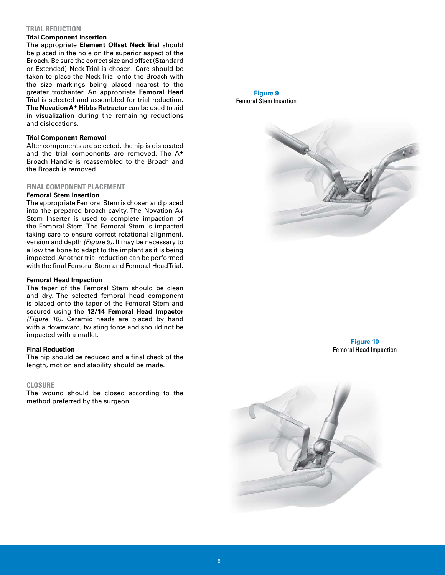#### **TRIAL REDUCTION**

#### **Trial Component Insertion**

The appropriate **Element Offset Neck Trial** should be placed in the hole on the superior aspect of the Broach. Be sure the correct size and offset (Standard or Extended) Neck Trial is chosen. Care should be taken to place the Neck Trial onto the Broach with the size markings being placed nearest to the greater trochanter. An appropriate **Femoral Head Trial** is selected and assembled for trial reduction. **The Novation A+ Hibbs Retractor** can be used to aid in visualization during the remaining reductions and dislocations.

#### **Trial Component Removal**

After components are selected, the hip is dislocated and the trial components are removed. The A<sup>+</sup> Broach Handle is reassembled to the Broach and the Broach is removed.

#### **FINAL COMPONENT PLACEMENT**

#### **Femoral Stem Insertion**

The appropriate Femoral Stem is chosen and placed into the prepared broach cavity. The Novation A+ Stem Inserter is used to complete impaction of the Femoral Stem. The Femoral Stem is impacted taking care to ensure correct rotational alignment, version and depth *(Figure 9)*. It may be necessary to allow the bone to adapt to the implant as it is being impacted. Another trial reduction can be performed with the final Femoral Stem and Femoral Head Trial.

#### **Femoral Head Impaction**

The taper of the Femoral Stem should be clean and dry. The selected femoral head component is placed onto the taper of the Femoral Stem and secured using the **12/14 Femoral Head Impactor**  *(Figure 10)*. Ceramic heads are placed by hand with a downward, twisting force and should not be impacted with a mallet.

#### **Final Reduction**

The hip should be reduced and a final check of the length, motion and stability should be made.

#### **CLOSURE**

The wound should be closed according to the method preferred by the surgeon.

**Figure 9**  Femoral Stem Insertion



**Figure 10**  Femoral Head Impaction

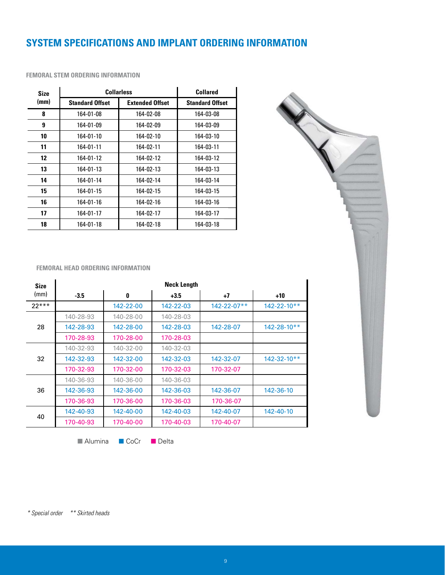# **SYSTEM SPECIFICATIONS AND IMPLANT ORDERING INFORMATION**

| <b>Size</b> | <b>Collarless</b>      | <b>Collared</b>        |                        |
|-------------|------------------------|------------------------|------------------------|
| (mm)        | <b>Standard Offset</b> | <b>Extended Offset</b> | <b>Standard Offset</b> |
| 8           | 164-01-08              | 164-02-08              | 164-03-08              |
| 9           | 164-01-09              | 164-02-09              | 164-03-09              |
| 10          | 164-01-10              | 164-02-10              | 164-03-10              |
| 11          | 164-01-11              | 164-02-11              | 164-03-11              |
| 12          | 164-01-12              | 164-02-12              | 164-03-12              |
| 13          | 164-01-13              | 164-02-13              | 164-03-13              |
| 14          | 164-01-14              | 164-02-14              | 164-03-14              |
| 15          | 164-01-15              | 164-02-15              | 164-03-15              |
| 16          | 164-01-16              | 164-02-16              | 164-03-16              |
| 17          | 164-01-17              | 164-02-17              | 164-03-17              |
| 18          | 164-01-18              | 164-02-18              | 164-03-18              |

#### **FEMORAL STEM ORDERING INFORMATION**



**FEMORAL HEAD ORDERING INFORMATION** 

| <b>Size</b> | <b>Neck Length</b> |           |           |                    |                   |
|-------------|--------------------|-----------|-----------|--------------------|-------------------|
| (mm)        | $-3.5$             | 0         | $+3.5$    | $+7$               | $+10$             |
| $22***$     |                    | 142-22-00 | 142-22-03 | $142 - 22 - 07$ ** | $142 - 22 - 10**$ |
|             | 140-28-93          | 140-28-00 | 140-28-03 |                    |                   |
| 28          | 142-28-93          | 142-28-00 | 142-28-03 | 142-28-07          | $142 - 28 - 10**$ |
|             | 170-28-93          | 170-28-00 | 170-28-03 |                    |                   |
|             | 140-32-93          | 140-32-00 | 140-32-03 |                    |                   |
| 32          | 142-32-93          | 142-32-00 | 142-32-03 | 142-32-07          | $142 - 32 - 10**$ |
|             | 170-32-93          | 170-32-00 | 170-32-03 | 170-32-07          |                   |
|             | 140-36-93          | 140-36-00 | 140-36-03 |                    |                   |
| 36          | 142-36-93          | 142-36-00 | 142-36-03 | 142-36-07          | 142-36-10         |
|             | 170-36-93          | 170-36-00 | 170-36-03 | 170-36-07          |                   |
| 40          | 142-40-93          | 142-40-00 | 142-40-03 | 142-40-07          | 142-40-10         |
|             | 170-40-93          | 170-40-00 | 170-40-03 | 170-40-07          |                   |

■ Alumina ■ CoCr ■ Delta

*\* Special order \*\* Skirted heads*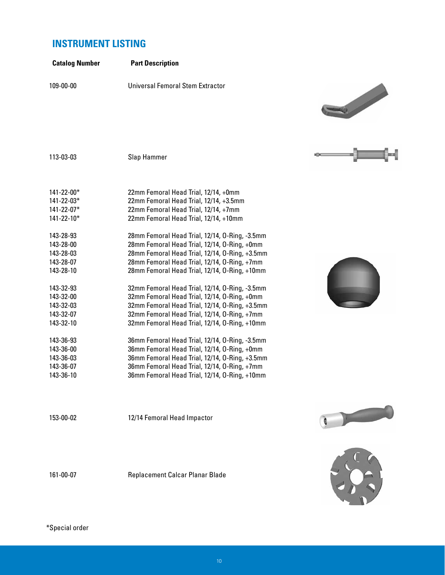# **INSTRUMENT LISTING**

| <b>Catalog Number</b>    | <b>Part Description</b>                                                                       |    |
|--------------------------|-----------------------------------------------------------------------------------------------|----|
| 109-00-00                | Universal Femoral Stem Extractor                                                              |    |
|                          |                                                                                               |    |
|                          |                                                                                               |    |
|                          |                                                                                               |    |
|                          |                                                                                               |    |
|                          |                                                                                               |    |
| 113-03-03                | Slap Hammer                                                                                   | шŒ |
|                          |                                                                                               |    |
|                          |                                                                                               |    |
| $141 - 22 - 00*$         | 22mm Femoral Head Trial, 12/14, +0mm                                                          |    |
| 141-22-03*<br>141-22-07* | 22mm Femoral Head Trial, 12/14, +3.5mm<br>22mm Femoral Head Trial, 12/14, +7mm                |    |
| 141-22-10*               | 22mm Femoral Head Trial, 12/14, +10mm                                                         |    |
|                          |                                                                                               |    |
| 143-28-93                | 28mm Femoral Head Trial, 12/14, O-Ring, -3.5mm                                                |    |
| 143-28-00                | 28mm Femoral Head Trial, 12/14, O-Ring, +0mm                                                  |    |
| 143-28-03                | 28mm Femoral Head Trial, 12/14, 0-Ring, +3.5mm                                                |    |
| 143-28-07<br>143-28-10   | 28mm Femoral Head Trial, 12/14, 0-Ring, +7mm<br>28mm Femoral Head Trial, 12/14, O-Ring, +10mm |    |
|                          |                                                                                               |    |
| 143-32-93                | 32mm Femoral Head Trial, 12/14, O-Ring, -3.5mm                                                |    |
| 143-32-00                | 32mm Femoral Head Trial, 12/14, O-Ring, +0mm                                                  |    |
| 143-32-03                | 32mm Femoral Head Trial, 12/14, 0-Ring, +3.5mm                                                |    |
| 143-32-07                | 32mm Femoral Head Trial, 12/14, 0-Ring, +7mm                                                  |    |
| 143-32-10                | 32mm Femoral Head Trial, 12/14, O-Ring, +10mm                                                 |    |
| 143-36-93                | 36mm Femoral Head Trial, 12/14, O-Ring, -3.5mm                                                |    |
| 143-36-00                | 36mm Femoral Head Trial, 12/14, O-Ring, +0mm                                                  |    |
| 143-36-03                | 36mm Femoral Head Trial, 12/14, O-Ring, +3.5mm                                                |    |
| 143-36-07                | 36mm Femoral Head Trial, 12/14, 0-Ring, +7mm                                                  |    |
| 143-36-10                | 36mm Femoral Head Trial, 12/14, O-Ring, +10mm                                                 |    |
|                          |                                                                                               |    |
| 153-00-02                | 12/14 Femoral Head Impactor                                                                   |    |

161-00-07 Replacement Calcar Planar Blade





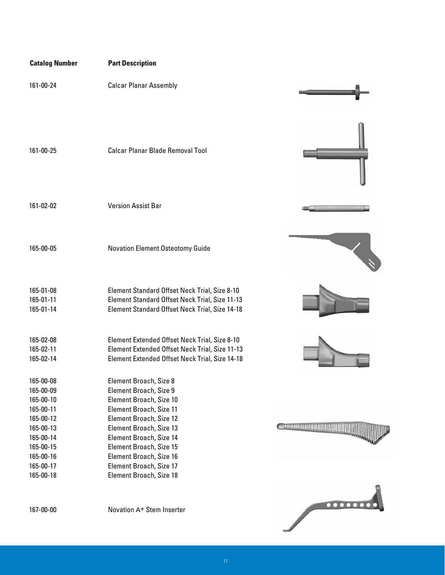| <b>Catalog Number</b>                            | <b>Part Description</b>                                                                                                                           |                                |
|--------------------------------------------------|---------------------------------------------------------------------------------------------------------------------------------------------------|--------------------------------|
| 161-00-24                                        | <b>Calcar Planar Assembly</b>                                                                                                                     |                                |
| 161-00-25                                        | <b>Calcar Planar Blade Removal Tool</b>                                                                                                           |                                |
| 161-02-02                                        | <b>Version Assist Bar</b>                                                                                                                         |                                |
| 165-00-05                                        | <b>Novation Element Osteotomy Guide</b>                                                                                                           |                                |
| 165-01-08<br>165-01-11<br>165-01-14              | Element Standard Offset Neck Trial, Size 8-10<br>Element Standard Offset Neck Trial, Size 11-13<br>Element Standard Offset Neck Trial, Size 14-18 |                                |
| 165-02-08<br>165-02-11<br>165-02-14              | Element Extended Offset Neck Trial, Size 8-10<br>Element Extended Offset Neck Trial, Size 11-13<br>Element Extended Offset Neck Trial, Size 14-18 |                                |
| 165-00-08<br>165-00-09<br>165-00-10<br>165-00-11 | Element Broach, Size 8<br>Element Broach, Size 9<br>Element Broach, Size 10<br>Element Broach, Size 11                                            |                                |
| 165-00-12<br>165-00-13<br>165-00-14<br>165-00-15 | Element Broach, Size 12<br>Element Broach, Size 13<br>Element Broach, Size 14<br>Element Broach, Size 15<br>Element Broach, Size 16               |                                |
| 165-00-16<br>165-00-17<br>165-00-18              | Element Broach, Size 17<br>Element Broach, Size 18                                                                                                |                                |
| 167-00-00                                        | Novation A+ Stem Inserter                                                                                                                         | $\bullet\bullet\bullet\bullet$ |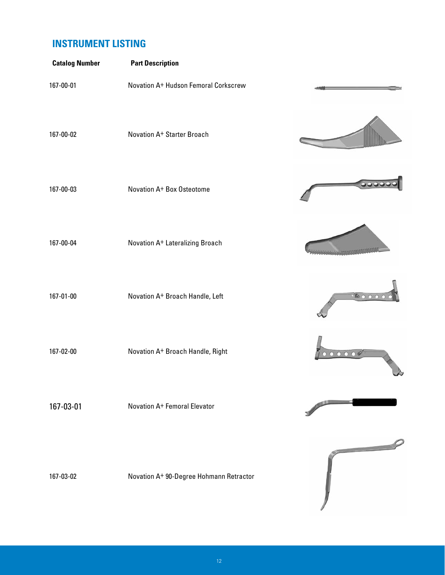# **INSTRUMENT LISTING**

| <b>Catalog Number</b> | <b>Part Description</b>                 |                          |
|-----------------------|-----------------------------------------|--------------------------|
| 167-00-01             | Novation A+ Hudson Femoral Corkscrew    |                          |
| 167-00-02             | Novation A+ Starter Broach              |                          |
| 167-00-03             | Novation A+ Box Osteotome               |                          |
| 167-00-04             | Novation A+ Lateralizing Broach         |                          |
| 167-01-00             | Novation A+ Broach Handle, Left         | 8000                     |
| 167-02-00             | Novation A+ Broach Handle, Right        |                          |
| 167-03-01             | Novation A+ Femoral Elevator            |                          |
| 167-03-02             | Novation A+ 90-Degree Hohmann Retractor | $\overline{\phantom{a}}$ |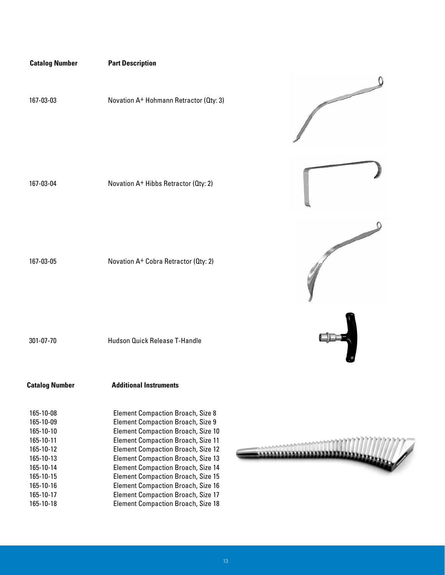### **Catalog Number Part Description**

167-03-03 Novation A+ Hohmann Retractor (Qty: 3)

167-03-04 Novation A+ Hibbs Retractor (Qty: 2)

167-03-05 Novation A+ Cobra Retractor (Qty: 2)

301-07-70 Hudson Quick Release T-Handle

**Catalog Number Additional Instruments** 

| 165-10-08 | <b>Element Compaction Broach, Size 8</b>  |
|-----------|-------------------------------------------|
| 165-10-09 | <b>Element Compaction Broach, Size 9</b>  |
| 165-10-10 | <b>Element Compaction Broach, Size 10</b> |
| 165-10-11 | <b>Element Compaction Broach, Size 11</b> |
| 165-10-12 | <b>Element Compaction Broach, Size 12</b> |
| 165-10-13 | <b>Element Compaction Broach, Size 13</b> |
| 165-10-14 | <b>Element Compaction Broach, Size 14</b> |
| 165-10-15 | <b>Element Compaction Broach, Size 15</b> |
| 165-10-16 | <b>Element Compaction Broach, Size 16</b> |
| 165-10-17 | <b>Element Compaction Broach, Size 17</b> |
| 165-10-18 | <b>Element Compaction Broach, Size 18</b> |



0